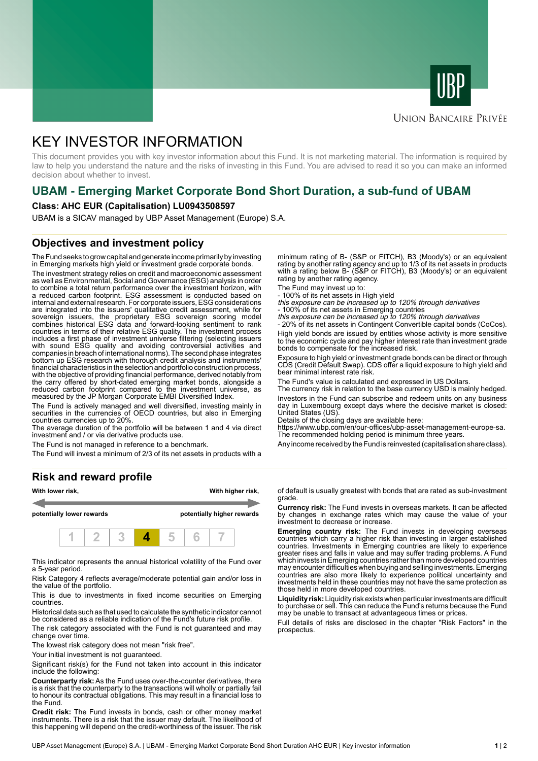



# **UNION BANCAIRE PRIVÉE**

# KEY INVESTOR INFORMATION

This document provides you with key investor information about this Fund. It is not marketing material. The information is required by law to help you understand the nature and the risks of investing in this Fund. You are advised to read it so you can make an informed decision about whether to invest.

# **UBAM - Emerging Market Corporate Bond Short Duration, a sub-fund of UBAM**

#### **Class: AHC EUR (Capitalisation) LU0943508597**

UBAM is a SICAV managed by UBP Asset Management (Europe) S.A.

# **Objectives and investment policy**

The Fund seeks to grow capital and generate income primarily by investing in Emerging markets high yield or investment grade corporate bonds.

The investment strategy relies on credit and macroeconomic assessment as well as Environmental, Social and Governance (ESG) analysis in order to combine a total return performance over the investment horizon, with a reduced carbon footprint. ESG assessment is conducted based on internal and external research. For corporate issuers, ESG considerations are integrated into the issuers' qualitative credit assessment, while for sovereign issuers, the proprietary ESG sovereign scoring model combines historical ESG data and forward-looking sentiment to rank countries in terms of their relative ESG quality. The investment process includes a first phase of investment universe filtering (selecting issuers with sound ESG quality and avoiding controversial activities and companies in breach of international norms). The second phase integrates bottom up ESG research with thorough credit analysis and instruments' financial characteristics in the selection and portfolio construction process, with the objective of providing financial performance, derived notably from the carry offered by short-dated emerging market bonds, alongside a reduced carbon footprint compared to the investment universe, as measured by the JP Morgan Corporate EMBI Diversified Index.

The Fund is actively managed and well diversified, investing mainly in securities in the currencies of OECD countries, but also in Emerging countries currencies up to 20%.

The average duration of the portfolio will be between 1 and 4 via direct investment and / or via derivative products use.

The Fund is not managed in reference to a benchmark.

The Fund will invest a minimum of 2/3 of its net assets in products with a

# **Risk and reward profile**



This indicator represents the annual historical volatility of the Fund over a 5-year period.

Risk Category 4 reflects average/moderate potential gain and/or loss in the value of the portfolio.

This is due to investments in fixed income securities on Emerging countries.

Historical data such as that used to calculate the synthetic indicator cannot be considered as a reliable indication of the Fund's future risk profile.

The risk category associated with the Fund is not guaranteed and may change over time.

The lowest risk category does not mean "risk free".

Your initial investment is not guaranteed.

Significant risk(s) for the Fund not taken into account in this indicator include the following:

**Counterparty risk:** As the Fund uses over-the-counter derivatives, there is a risk that the counterparty to the transactions will wholly or partially fail to honour its contractual obligations. This may result in a financial loss to the Fund.

**Credit risk:** The Fund invests in bonds, cash or other money market instruments. There is a risk that the issuer may default. The likelihood of this happening will depend on the credit-worthiness of the issuer. The risk minimum rating of B- (S&P or FITCH), B3 (Moody's) or an equivalent rating by another rating agency and up to 1/3 of its net assets in products with a rating below B- (S&P or FITCH), B3 (Moody's) or an equivalent rating by another rating agency.

The Fund may invest up to:

- 100% of its net assets in High yield this exposure can be increased up to 120% through derivatives

- 100% of its net assets in Emerging countries<br>*this exposure can be increased up to 120% through derivatives*<br>- 20% of its net assets in Contingent Convertible capital bonds (CoCos).

High yield bonds are issued by entities whose activity is more sensitive to the economic cycle and pay higher interest rate than investment grade bonds to compensate for the increased risk.

Exposure to high yield or investment grade bonds can be direct or through CDS (Credit Default Swap). CDS offer a liquid exposure to high yield and bear minimal interest rate risk.

The Fund's value is calculated and expressed in US Dollars.

The currency risk in relation to the base currency USD is mainly hedged. Investors in the Fund can subscribe and redeem units on any business day in Luxembourg except days where the decisive market is closed: United States (US).

Details of the closing days are available here:

https://www.ubp.com/en/our-offices/ubp-asset-management-europe-sa. The recommended holding period is minimum three years.

Any income received by the Fund is reinvested (capitalisation share class).

of default is usually greatest with bonds that are rated as sub-investment grade.

**Currency risk:** The Fund invests in overseas markets. It can be affected by changes in exchange rates which may cause the value of your investment to decrease or increase.

**Emerging country risk:** The Fund invests in developing overseas countries which carry a higher risk than investing in larger established countries. Investments in Emerging countries are likely to experience greater rises and falls in value and may suffer trading problems. A Fund which invests in Emerging countries rather than more developed countries may encounter difficulties when buying and selling investments. Emerging countries are also more likely to experience political uncertainty and investments held in these countries may not have the same protection as those held in more developed countries.

**Liquidity risk:** Liquidity risk exists when particular investments are difficult to purchase or sell. This can reduce the Fund's returns because the Fund may be unable to transact at advantageous times or prices.

Full details of risks are disclosed in the chapter "Risk Factors" in the prospectus.